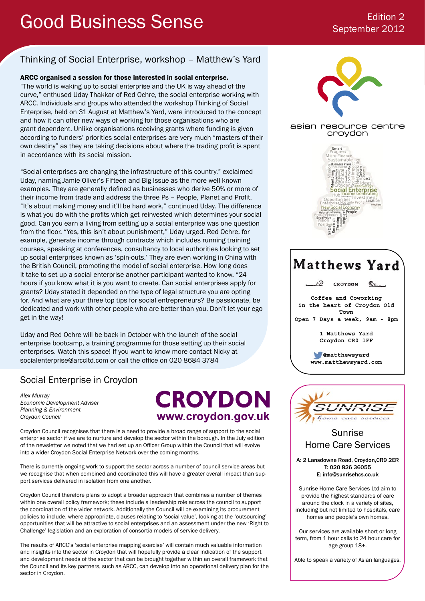# Good Business Sense Edition 2

# September 2012

## Thinking of Social Enterprise, workshop – Matthew's Yard

## ARCC organised a session for those interested in social enterprise.

"The world is waking up to social enterprise and the UK is way ahead of the curve," enthused Uday Thakkar of Red Ochre, the social enterprise working with ARCC. Individuals and groups who attended the workshop Thinking of Social Enterprise, held on 31 August at Matthew's Yard, were introduced to the concept and how it can offer new ways of working for those organisations who are grant dependent. Unlike organisations receiving grants where funding is given according to funders' priorities social enterprises are very much "masters of their own destiny" as they are taking decisions about where the trading profit is spent in accordance with its social mission.

"Social enterprises are changing the infrastructure of this country," exclaimed Uday, naming Jamie Oliver's Fifteen and Big Issue as the more well known examples. They are generally defined as businesses who derive 50% or more of their income from trade and address the three Ps – People, Planet and Profit. "It's about making money and it'll be hard work," continued Uday. The difference is what you do with the profits which get reinvested which determines your social good. Can you earn a living from setting up a social enterprise was one question from the floor. "Yes, this isn't about punishment," Uday urged. Red Ochre, for example, generate income through contracts which includes running training courses, speaking at conferences, consultancy to local authorities looking to set up social enterprises known as 'spin-outs.' They are even working in China with the British Council, promoting the model of social enterprise. How long does it take to set up a social enterprise another participant wanted to know. "24 hours if you know what it is you want to create. Can social enterprises apply for grants? Uday stated it depended on the type of legal structure you are opting for. And what are your three top tips for social entrepreneurs? Be passionate, be dedicated and work with other people who are better than you. Don't let your ego get in the way!

Uday and Red Ochre will be back in October with the launch of the social enterprise bootcamp, a training programme for those setting up their social enterprises. Watch this space! If you want to know more contact Nicky at socialenterprise@arccltd.com or call the office on 020 8684 3784

# Social Enterprise in Croydon

*Alex Murray Economic Development Adviser Planning & Environment Croydon Council*

**CROYDON** www.croydon.gov.uk

Croydon Council recognises that there is a need to provide a broad range of support to the social enterprise sector if we are to nurture and develop the sector within the borough. In the July edition of the newsletter we noted that we had set up an Officer Group within the Council that will evolve into a wider Croydon Social Enterprise Network over the coming months.

There is currently ongoing work to support the sector across a number of council service areas but we recognise that when combined and coordinated this will have a greater overall impact than support services delivered in isolation from one another.

Croydon Council therefore plans to adopt a broader approach that combines a number of themes within one overall policy framework; these include a leadership role across the council to support the coordination of the wider network. Additionally the Council will be examining its procurement policies to include, where appropriate, clauses relating to 'social value', looking at the 'outsourcing' opportunities that will be attractive to social enterprises and an assessment under the new 'Right to Challenge' legislation and an exploration of consortia models of service delivery.

The results of ARCC's 'social enterprise mapping exercise' will contain much valuable information and insights into the sector in Croydon that will hopefully provide a clear indication of the support and development needs of the sector that can be brought together within an overall framework that the Council and its key partners, such as ARCC, can develop into an operational delivery plan for the sector in Croydon.



### asian resource centre croydon







## Sunrise Home Care Services

A: 2 Lansdowne Road, Croydon,CR9 2ER T: 020 826 36055 E: info@sunrisehcs.co.uk

Sunrise Home Care Services Ltd aim to provide the highest standards of care around the clock in a variety of sites, including but not limited to hospitals, care homes and people's own homes.

Our services are available short or long term, from 1 hour calls to 24 hour care for age group 18+.

Able to speak a variety of Asian languages.